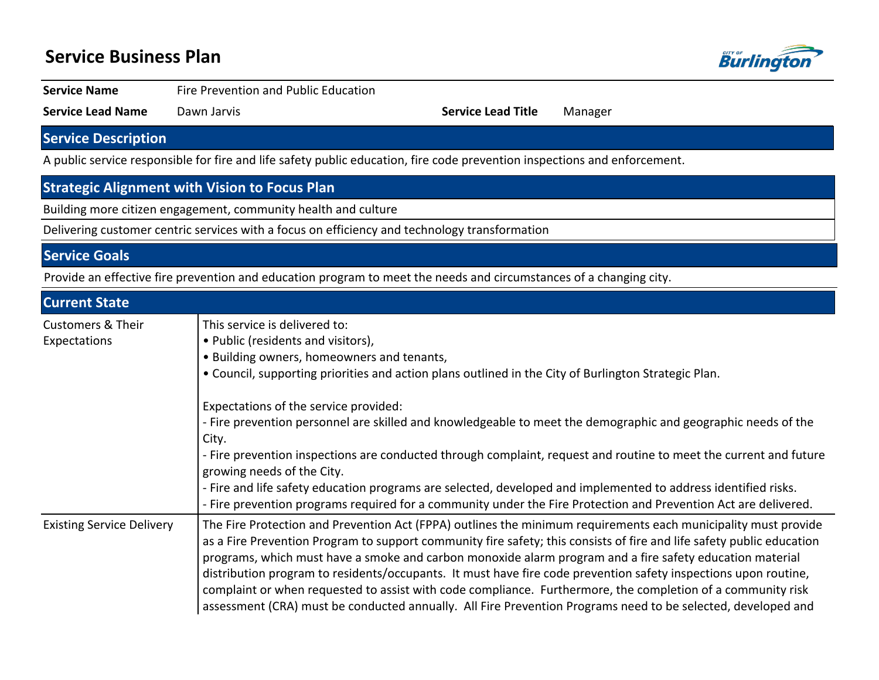## **Service Business Plan**



**Service Name** Fire Prevention and Public Education

**Service Lead Name** Dawn Jarvis **Service Lead Title** Manager

## **Service Description**

A public service responsible for fire and life safety public education, fire code prevention inspections and enforcement.

### **Strategic Alignment with Vision to Focus Plan**

Building more citizen engagement, community health and culture

Delivering customer centric services with a focus on efficiency and technology transformation

#### **Service Goals**

Provide an effective fire prevention and education program to meet the needs and circumstances of a changing city.

| <b>Current State</b>                         |                                                                                                                                                                                                                                                                                                                                                                                                                                                                                                                                                                                                                                                                                                       |  |  |  |
|----------------------------------------------|-------------------------------------------------------------------------------------------------------------------------------------------------------------------------------------------------------------------------------------------------------------------------------------------------------------------------------------------------------------------------------------------------------------------------------------------------------------------------------------------------------------------------------------------------------------------------------------------------------------------------------------------------------------------------------------------------------|--|--|--|
| <b>Customers &amp; Their</b><br>Expectations | This service is delivered to:<br>• Public (residents and visitors),<br>• Building owners, homeowners and tenants,<br>• Council, supporting priorities and action plans outlined in the City of Burlington Strategic Plan.                                                                                                                                                                                                                                                                                                                                                                                                                                                                             |  |  |  |
|                                              | Expectations of the service provided:<br>- Fire prevention personnel are skilled and knowledgeable to meet the demographic and geographic needs of the<br>City.<br>- Fire prevention inspections are conducted through complaint, request and routine to meet the current and future<br>growing needs of the City.<br>- Fire and life safety education programs are selected, developed and implemented to address identified risks.<br>- Fire prevention programs required for a community under the Fire Protection and Prevention Act are delivered.                                                                                                                                               |  |  |  |
| <b>Existing Service Delivery</b>             | The Fire Protection and Prevention Act (FPPA) outlines the minimum requirements each municipality must provide<br>as a Fire Prevention Program to support community fire safety; this consists of fire and life safety public education<br>programs, which must have a smoke and carbon monoxide alarm program and a fire safety education material<br>distribution program to residents/occupants. It must have fire code prevention safety inspections upon routine,<br>complaint or when requested to assist with code compliance. Furthermore, the completion of a community risk<br>assessment (CRA) must be conducted annually. All Fire Prevention Programs need to be selected, developed and |  |  |  |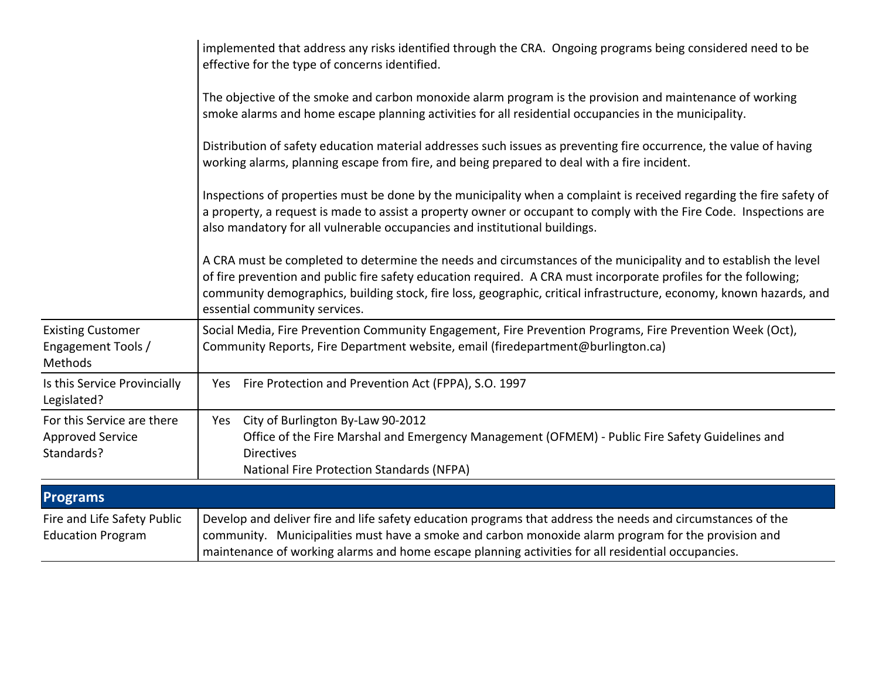|                                                                     | implemented that address any risks identified through the CRA. Ongoing programs being considered need to be<br>effective for the type of concerns identified.                                                                                                                                                                                                                               |  |  |  |  |  |  |
|---------------------------------------------------------------------|---------------------------------------------------------------------------------------------------------------------------------------------------------------------------------------------------------------------------------------------------------------------------------------------------------------------------------------------------------------------------------------------|--|--|--|--|--|--|
|                                                                     | The objective of the smoke and carbon monoxide alarm program is the provision and maintenance of working<br>smoke alarms and home escape planning activities for all residential occupancies in the municipality.                                                                                                                                                                           |  |  |  |  |  |  |
|                                                                     | Distribution of safety education material addresses such issues as preventing fire occurrence, the value of having<br>working alarms, planning escape from fire, and being prepared to deal with a fire incident.                                                                                                                                                                           |  |  |  |  |  |  |
|                                                                     | Inspections of properties must be done by the municipality when a complaint is received regarding the fire safety of<br>a property, a request is made to assist a property owner or occupant to comply with the Fire Code. Inspections are<br>also mandatory for all vulnerable occupancies and institutional buildings.                                                                    |  |  |  |  |  |  |
|                                                                     | A CRA must be completed to determine the needs and circumstances of the municipality and to establish the level<br>of fire prevention and public fire safety education required. A CRA must incorporate profiles for the following;<br>community demographics, building stock, fire loss, geographic, critical infrastructure, economy, known hazards, and<br>essential community services. |  |  |  |  |  |  |
| <b>Existing Customer</b><br>Engagement Tools /<br>Methods           | Social Media, Fire Prevention Community Engagement, Fire Prevention Programs, Fire Prevention Week (Oct),<br>Community Reports, Fire Department website, email (firedepartment@burlington.ca)                                                                                                                                                                                               |  |  |  |  |  |  |
| Is this Service Provincially<br>Legislated?                         | Yes Fire Protection and Prevention Act (FPPA), S.O. 1997                                                                                                                                                                                                                                                                                                                                    |  |  |  |  |  |  |
| For this Service are there<br><b>Approved Service</b><br>Standards? | City of Burlington By-Law 90-2012<br>Yes<br>Office of the Fire Marshal and Emergency Management (OFMEM) - Public Fire Safety Guidelines and<br><b>Directives</b><br><b>National Fire Protection Standards (NFPA)</b>                                                                                                                                                                        |  |  |  |  |  |  |
| <b>Programs</b>                                                     |                                                                                                                                                                                                                                                                                                                                                                                             |  |  |  |  |  |  |
| Fire and Life Safety Public<br><b>Education Program</b>             | Develop and deliver fire and life safety education programs that address the needs and circumstances of the<br>community. Municipalities must have a smoke and carbon monoxide alarm program for the provision and<br>maintenance of working alarms and home escape planning activities for all residential occupancies.                                                                    |  |  |  |  |  |  |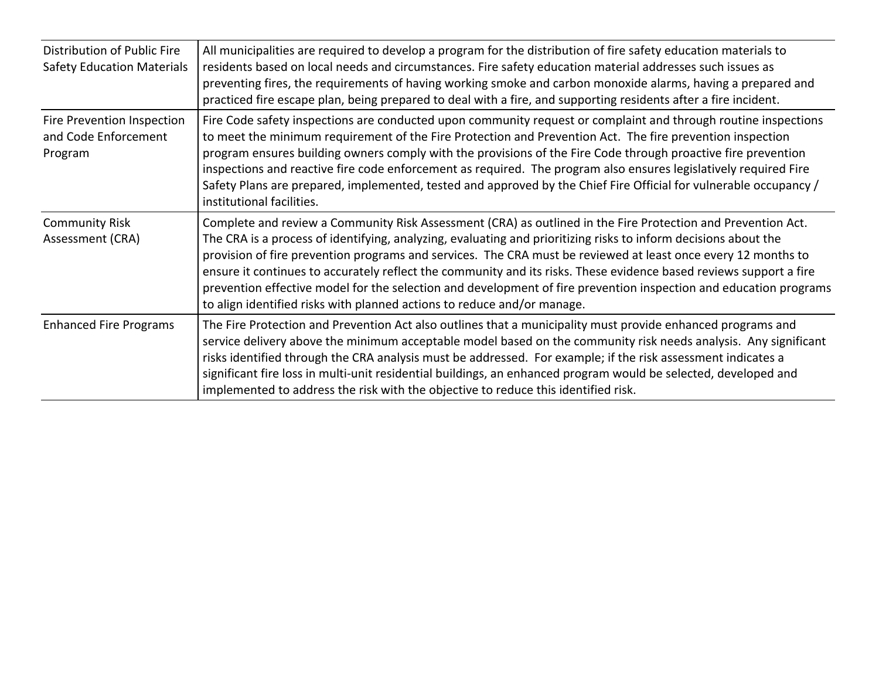| Distribution of Public Fire<br><b>Safety Education Materials</b> | All municipalities are required to develop a program for the distribution of fire safety education materials to<br>residents based on local needs and circumstances. Fire safety education material addresses such issues as<br>preventing fires, the requirements of having working smoke and carbon monoxide alarms, having a prepared and<br>practiced fire escape plan, being prepared to deal with a fire, and supporting residents after a fire incident.                                                                                                                                                                                                        |
|------------------------------------------------------------------|------------------------------------------------------------------------------------------------------------------------------------------------------------------------------------------------------------------------------------------------------------------------------------------------------------------------------------------------------------------------------------------------------------------------------------------------------------------------------------------------------------------------------------------------------------------------------------------------------------------------------------------------------------------------|
| Fire Prevention Inspection<br>and Code Enforcement<br>Program    | Fire Code safety inspections are conducted upon community request or complaint and through routine inspections<br>to meet the minimum requirement of the Fire Protection and Prevention Act. The fire prevention inspection<br>program ensures building owners comply with the provisions of the Fire Code through proactive fire prevention<br>inspections and reactive fire code enforcement as required. The program also ensures legislatively required Fire<br>Safety Plans are prepared, implemented, tested and approved by the Chief Fire Official for vulnerable occupancy /<br>institutional facilities.                                                     |
| <b>Community Risk</b><br>Assessment (CRA)                        | Complete and review a Community Risk Assessment (CRA) as outlined in the Fire Protection and Prevention Act.<br>The CRA is a process of identifying, analyzing, evaluating and prioritizing risks to inform decisions about the<br>provision of fire prevention programs and services. The CRA must be reviewed at least once every 12 months to<br>ensure it continues to accurately reflect the community and its risks. These evidence based reviews support a fire<br>prevention effective model for the selection and development of fire prevention inspection and education programs<br>to align identified risks with planned actions to reduce and/or manage. |
| <b>Enhanced Fire Programs</b>                                    | The Fire Protection and Prevention Act also outlines that a municipality must provide enhanced programs and<br>service delivery above the minimum acceptable model based on the community risk needs analysis. Any significant<br>risks identified through the CRA analysis must be addressed. For example; if the risk assessment indicates a<br>significant fire loss in multi-unit residential buildings, an enhanced program would be selected, developed and<br>implemented to address the risk with the objective to reduce this identified risk.                                                                                                                |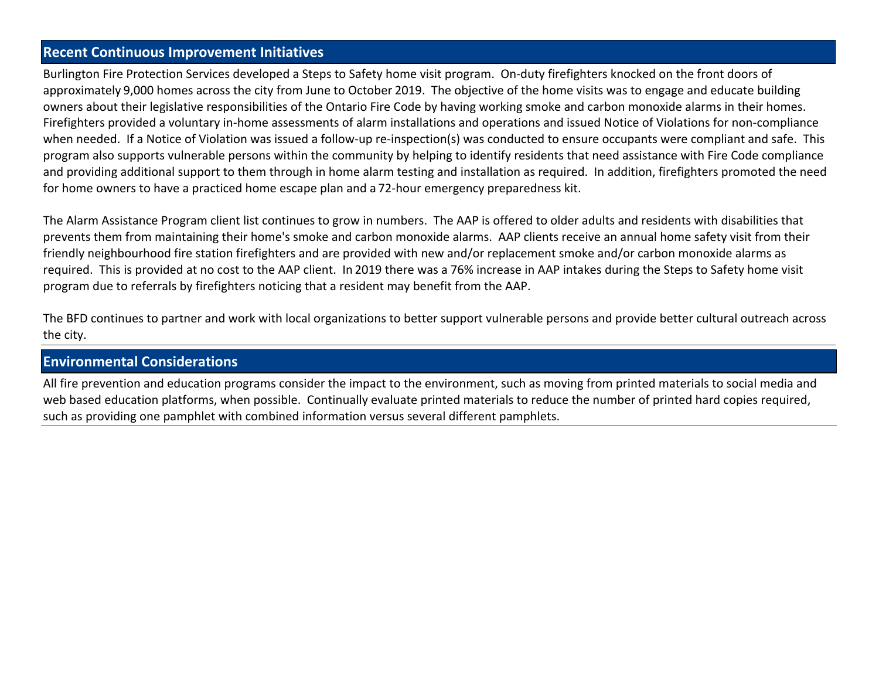#### **Recent Continuous Improvement Initiatives**

Burlington Fire Protection Services developed a Steps to Safety home visit program. On-duty firefighters knocked on the front doors of approximately 9,000 homes across the city from June to October 2019. The objective of the home visits was to engage and educate building owners about their legislative responsibilities of the Ontario Fire Code by having working smoke and carbon monoxide alarms in their homes. Firefighters provided a voluntary in-home assessments of alarm installations and operations and issued Notice of Violations for non-compliance when needed. If a Notice of Violation was issued a follow-up re-inspection(s) was conducted to ensure occupants were compliant and safe. This program also supports vulnerable persons within the community by helping to identify residents that need assistance with Fire Code compliance and providing additional support to them through in home alarm testing and installation as required. In addition, firefighters promoted the need for home owners to have a practiced home escape plan and a 72-hour emergency preparedness kit.

The Alarm Assistance Program client list continues to grow in numbers. The AAP is offered to older adults and residents with disabilities that prevents them from maintaining their home's smoke and carbon monoxide alarms. AAP clients receive an annual home safety visit from their friendly neighbourhood fire station firefighters and are provided with new and/or replacement smoke and/or carbon monoxide alarms as required. This is provided at no cost to the AAP client. In 2019 there was a 76% increase in AAP intakes during the Steps to Safety home visit program due to referrals by firefighters noticing that a resident may benefit from the AAP.

The BFD continues to partner and work with local organizations to better support vulnerable persons and provide better cultural outreach across the city.

#### **Environmental Considerations**

All fire prevention and education programs consider the impact to the environment, such as moving from printed materials to social media and web based education platforms, when possible. Continually evaluate printed materials to reduce the number of printed hard copies required, such as providing one pamphlet with combined information versus several different pamphlets.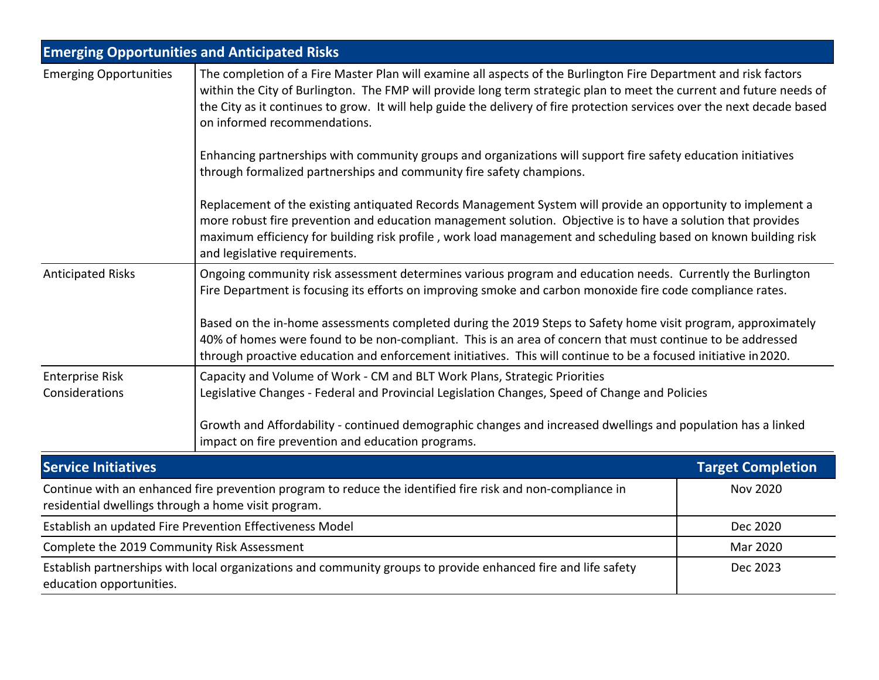|                                                                                                                                                                   | <b>Emerging Opportunities and Anticipated Risks</b>                                                                                                                                                                                                                                                                                                                                                                                                                                                                                                                       |                                                                                                                                                                                                                                                                                                                                               |  |  |  |  |  |
|-------------------------------------------------------------------------------------------------------------------------------------------------------------------|---------------------------------------------------------------------------------------------------------------------------------------------------------------------------------------------------------------------------------------------------------------------------------------------------------------------------------------------------------------------------------------------------------------------------------------------------------------------------------------------------------------------------------------------------------------------------|-----------------------------------------------------------------------------------------------------------------------------------------------------------------------------------------------------------------------------------------------------------------------------------------------------------------------------------------------|--|--|--|--|--|
| <b>Emerging Opportunities</b>                                                                                                                                     | The completion of a Fire Master Plan will examine all aspects of the Burlington Fire Department and risk factors<br>within the City of Burlington. The FMP will provide long term strategic plan to meet the current and future needs of<br>the City as it continues to grow. It will help guide the delivery of fire protection services over the next decade based<br>on informed recommendations.                                                                                                                                                                      |                                                                                                                                                                                                                                                                                                                                               |  |  |  |  |  |
|                                                                                                                                                                   | Enhancing partnerships with community groups and organizations will support fire safety education initiatives<br>through formalized partnerships and community fire safety champions.                                                                                                                                                                                                                                                                                                                                                                                     |                                                                                                                                                                                                                                                                                                                                               |  |  |  |  |  |
|                                                                                                                                                                   | and legislative requirements.                                                                                                                                                                                                                                                                                                                                                                                                                                                                                                                                             | Replacement of the existing antiquated Records Management System will provide an opportunity to implement a<br>more robust fire prevention and education management solution. Objective is to have a solution that provides<br>maximum efficiency for building risk profile, work load management and scheduling based on known building risk |  |  |  |  |  |
| <b>Anticipated Risks</b>                                                                                                                                          | Ongoing community risk assessment determines various program and education needs. Currently the Burlington<br>Fire Department is focusing its efforts on improving smoke and carbon monoxide fire code compliance rates.<br>Based on the in-home assessments completed during the 2019 Steps to Safety home visit program, approximately<br>40% of homes were found to be non-compliant. This is an area of concern that must continue to be addressed<br>through proactive education and enforcement initiatives. This will continue to be a focused initiative in 2020. |                                                                                                                                                                                                                                                                                                                                               |  |  |  |  |  |
| <b>Enterprise Risk</b><br>Considerations                                                                                                                          | Capacity and Volume of Work - CM and BLT Work Plans, Strategic Priorities<br>Legislative Changes - Federal and Provincial Legislation Changes, Speed of Change and Policies<br>Growth and Affordability - continued demographic changes and increased dwellings and population has a linked<br>impact on fire prevention and education programs.                                                                                                                                                                                                                          |                                                                                                                                                                                                                                                                                                                                               |  |  |  |  |  |
| <b>Service Initiatives</b>                                                                                                                                        |                                                                                                                                                                                                                                                                                                                                                                                                                                                                                                                                                                           | <b>Target Completion</b>                                                                                                                                                                                                                                                                                                                      |  |  |  |  |  |
| Continue with an enhanced fire prevention program to reduce the identified fire risk and non-compliance in<br>residential dwellings through a home visit program. | <b>Nov 2020</b>                                                                                                                                                                                                                                                                                                                                                                                                                                                                                                                                                           |                                                                                                                                                                                                                                                                                                                                               |  |  |  |  |  |
| Establish an updated Fire Prevention Effectiveness Model                                                                                                          | Dec 2020                                                                                                                                                                                                                                                                                                                                                                                                                                                                                                                                                                  |                                                                                                                                                                                                                                                                                                                                               |  |  |  |  |  |
| Complete the 2019 Community Risk Assessment                                                                                                                       | Mar 2020                                                                                                                                                                                                                                                                                                                                                                                                                                                                                                                                                                  |                                                                                                                                                                                                                                                                                                                                               |  |  |  |  |  |
| Establish partnerships with local organizations and community groups to provide enhanced fire and life safety<br>education opportunities.                         | Dec 2023                                                                                                                                                                                                                                                                                                                                                                                                                                                                                                                                                                  |                                                                                                                                                                                                                                                                                                                                               |  |  |  |  |  |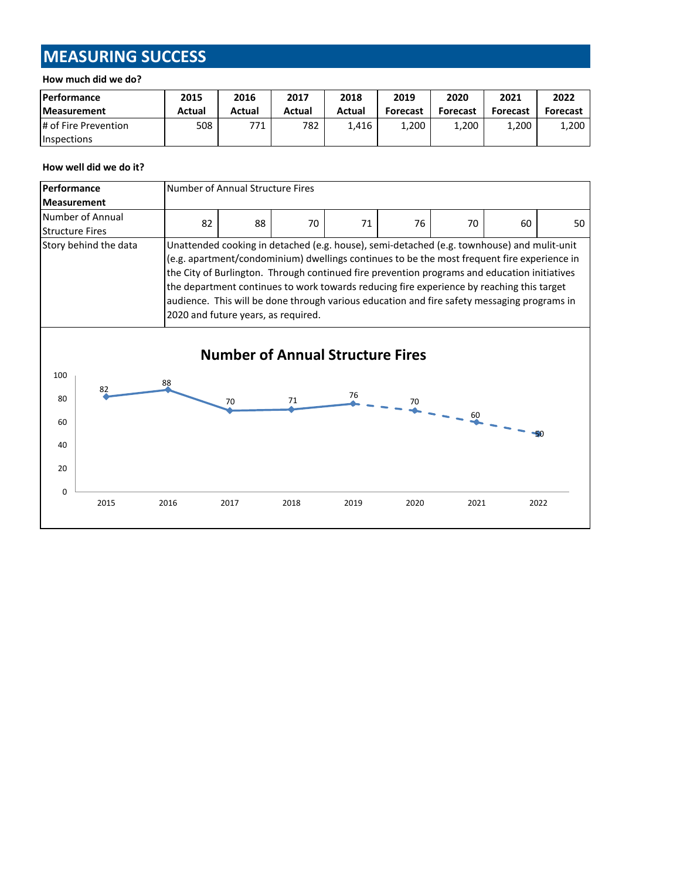# **MEASURING SUCCESS**

#### **How much did we do?**

| <b>Performance</b>   | 2015   | 2016   | 2017   | 2018   | 2019            | 2020            | 2021            | 2022     |
|----------------------|--------|--------|--------|--------|-----------------|-----------------|-----------------|----------|
| <b>Measurement</b>   | Actual | Actual | Actual | Actual | <b>Forecast</b> | <b>Forecast</b> | <b>Forecast</b> | Forecast |
| # of Fire Prevention | 508    | 771    | 782    | 1.416  | 1.200           | 1.200           | 1,200           | 1,200    |
| <b>Inspections</b>   |        |        |        |        |                 |                 |                 |          |

#### **How well did we do it?**

| Performance<br><b>Measurement</b>       |                                                                                                                                                                                                                                                                                                                                                                                                                                                                                                                                                       | Number of Annual Structure Fires |      |      |      |      |                                                    |    |       |
|-----------------------------------------|-------------------------------------------------------------------------------------------------------------------------------------------------------------------------------------------------------------------------------------------------------------------------------------------------------------------------------------------------------------------------------------------------------------------------------------------------------------------------------------------------------------------------------------------------------|----------------------------------|------|------|------|------|----------------------------------------------------|----|-------|
| <b>Structure Fires</b>                  | Number of Annual                                                                                                                                                                                                                                                                                                                                                                                                                                                                                                                                      | 82                               | 88   | 70   | 71   | 76   | 70                                                 | 60 | 50    |
|                                         | Story behind the data<br>Unattended cooking in detached (e.g. house), semi-detached (e.g. townhouse) and mulit-unit<br>(e.g. apartment/condominium) dwellings continues to be the most frequent fire experience in<br>the City of Burlington. Through continued fire prevention programs and education initiatives<br>the department continues to work towards reducing fire experience by reaching this target<br>audience. This will be done through various education and fire safety messaging programs in<br>2020 and future years, as required. |                                  |      |      |      |      |                                                    |    |       |
| <b>Number of Annual Structure Fires</b> |                                                                                                                                                                                                                                                                                                                                                                                                                                                                                                                                                       |                                  |      |      |      |      |                                                    |    |       |
| 100<br>80<br>60                         | 82                                                                                                                                                                                                                                                                                                                                                                                                                                                                                                                                                    | 88                               | 70   | 71   |      |      | $\frac{76}{4}$ - - - $\frac{70}{4}$ - - - 60 - - - |    |       |
| 40                                      |                                                                                                                                                                                                                                                                                                                                                                                                                                                                                                                                                       |                                  |      |      |      |      |                                                    |    | $-50$ |
| 20<br>$\Omega$                          |                                                                                                                                                                                                                                                                                                                                                                                                                                                                                                                                                       |                                  |      |      |      |      |                                                    |    |       |
|                                         | 2015                                                                                                                                                                                                                                                                                                                                                                                                                                                                                                                                                  | 2016                             | 2017 | 2018 | 2019 | 2020 | 2021                                               |    | 2022  |